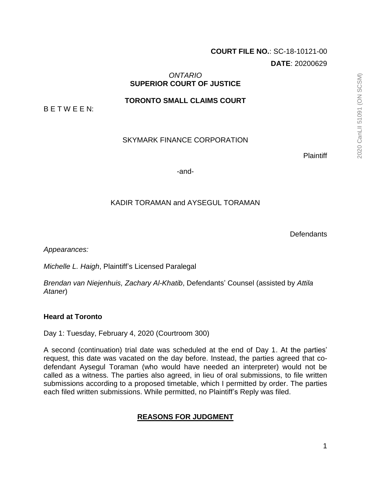# **COURT FILE NO.**: SC-18-10121-00 **DATE**: 20200629

## *ONTARIO* **SUPERIOR COURT OF JUSTICE**

**TORONTO SMALL CLAIMS COURT**

B E T W E E N:

## SKYMARK FINANCE CORPORATION

**Plaintiff** 

-and-

## KADIR TORAMAN and AYSEGUL TORAMAN

**Defendants** 

*Appearances:*

*Michelle L. Haigh*, Plaintiff's Licensed Paralegal

*Brendan van Niejenhuis, Zachary Al-Khatib*, Defendants' Counsel (assisted by *Attila Ataner*)

## **Heard at Toronto**

Day 1: Tuesday, February 4, 2020 (Courtroom 300)

A second (continuation) trial date was scheduled at the end of Day 1. At the parties' request, this date was vacated on the day before. Instead, the parties agreed that codefendant Aysegul Toraman (who would have needed an interpreter) would not be called as a witness. The parties also agreed, in lieu of oral submissions, to file written submissions according to a proposed timetable, which I permitted by order. The parties each filed written submissions. While permitted, no Plaintiff's Reply was filed.

## **REASONS FOR JUDGMENT**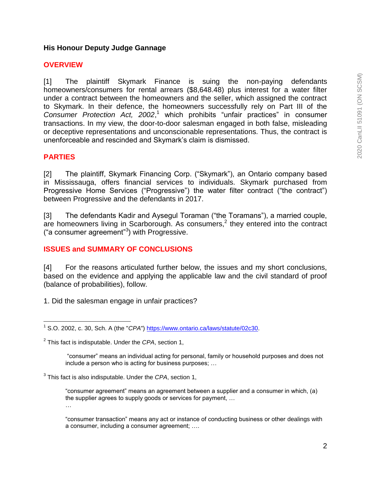## **His Honour Deputy Judge Gannage**

### **OVERVIEW**

[1] The plaintiff Skymark Finance is suing the non-paying defendants homeowners/consumers for rental arrears (\$8,648.48) plus interest for a water filter under a contract between the homeowners and the seller, which assigned the contract to Skymark. In their defence, the homeowners successfully rely on Part III of the *Consumer Protection Act, 2002*, <sup>1</sup> which prohibits "unfair practices" in consumer transactions. In my view, the door-to-door salesman engaged in both false, misleading or deceptive representations and unconscionable representations. Thus, the contract is unenforceable and rescinded and Skymark's claim is dismissed.

## **PARTIES**

[2] The plaintiff, Skymark Financing Corp. ("Skymark"), an Ontario company based in Mississauga, offers financial services to individuals. Skymark purchased from Progressive Home Services ("Progressive") the water filter contract ("the contract") between Progressive and the defendants in 2017.

[3] The defendants Kadir and Aysegul Toraman ("the Toramans"), a married couple,  $\overline{a}$  is a homeowners living in Scarborough. As consumers,<sup>2</sup> they entered into the contract ("a consumer agreement"<sup>3</sup> ) with Progressive.

## **ISSUES and SUMMARY OF CONCLUSIONS**

[4] For the reasons articulated further below, the issues and my short conclusions, based on the evidence and applying the applicable law and the civil standard of proof (balance of probabilities), follow.

1. Did the salesman engage in unfair practices?

"consumer" means an individual acting for personal, family or household purposes and does not include a person who is acting for business purposes; …

3 This fact is also indisputable. Under the *CPA*, section 1,

"consumer agreement" means an agreement between a supplier and a consumer in which, (a) the supplier agrees to supply goods or services for payment, …

…

"consumer transaction" means any act or instance of conducting business or other dealings with a consumer, including a consumer agreement; ….

 $\overline{a}$ <sup>1</sup> S.O. 2002, c. 30, Sch. A (the "*CPA*") [https://www.ontario.ca/laws/statute/02c30.](https://www.ontario.ca/laws/statute/02c30)

<sup>2</sup> This fact is indisputable. Under the *CPA*, section 1,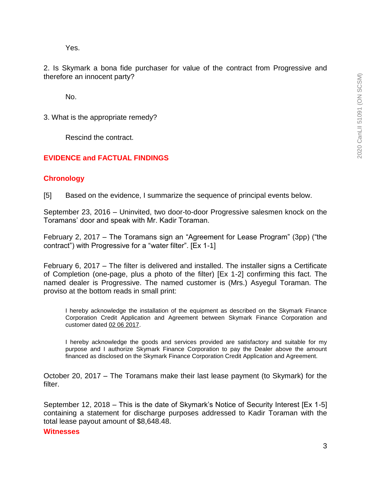Yes.

2. Is Skymark a bona fide purchaser for value of the contract from Progressive and therefore an innocent party?

No.

3. What is the appropriate remedy?

Rescind the contract.

### **EVIDENCE and FACTUAL FINDINGS**

### **Chronology**

[5] Based on the evidence, I summarize the sequence of principal events below.

September 23, 2016 – Uninvited, two door-to-door Progressive salesmen knock on the Toramans' door and speak with Mr. Kadir Toraman.

February 2, 2017 – The Toramans sign an "Agreement for Lease Program" (3pp) ("the contract") with Progressive for a "water filter". [Ex 1-1]

February 6, 2017 – The filter is delivered and installed. The installer signs a Certificate of Completion (one-page, plus a photo of the filter) [Ex 1-2] confirming this fact. The named dealer is Progressive. The named customer is (Mrs.) Asyegul Toraman. The proviso at the bottom reads in small print:

I hereby acknowledge the installation of the equipment as described on the Skymark Finance Corporation Credit Application and Agreement between Skymark Finance Corporation and customer dated 02 06 2017.

I hereby acknowledge the goods and services provided are satisfactory and suitable for my purpose and I authorize Skymark Finance Corporation to pay the Dealer above the amount financed as disclosed on the Skymark Finance Corporation Credit Application and Agreement.

October 20, 2017 – The Toramans make their last lease payment (to Skymark) for the filter.

September 12, 2018 – This is the date of Skymark's Notice of Security Interest [Ex 1-5] containing a statement for discharge purposes addressed to Kadir Toraman with the total lease payout amount of \$8,648.48.

#### **Witnesses**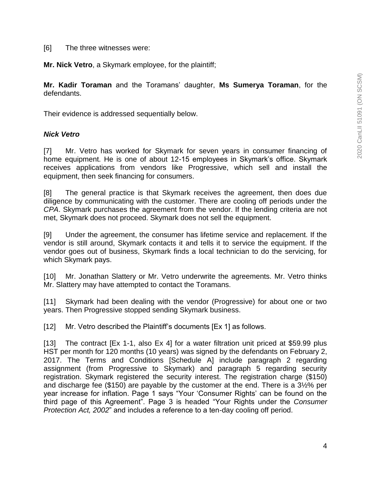[6] The three witnesses were:

**Mr. Nick Vetro**, a Skymark employee, for the plaintiff;

**Mr. Kadir Toraman** and the Toramans' daughter, **Ms Sumerya Toraman**, for the defendants.

Their evidence is addressed sequentially below.

## *Nick Vetro*

[7] Mr. Vetro has worked for Skymark for seven years in consumer financing of home equipment. He is one of about 12-15 employees in Skymark's office. Skymark receives applications from vendors like Progressive, which sell and install the equipment, then seek financing for consumers.

[8] The general practice is that Skymark receives the agreement, then does due diligence by communicating with the customer. There are cooling off periods under the *CPA*. Skymark purchases the agreement from the vendor. If the lending criteria are not met, Skymark does not proceed. Skymark does not sell the equipment.

[9] Under the agreement, the consumer has lifetime service and replacement. If the vendor is still around, Skymark contacts it and tells it to service the equipment. If the vendor goes out of business, Skymark finds a local technician to do the servicing, for which Skymark pays.

[10] Mr. Jonathan Slattery or Mr. Vetro underwrite the agreements. Mr. Vetro thinks Mr. Slattery may have attempted to contact the Toramans.

[11] Skymark had been dealing with the vendor (Progressive) for about one or two years. Then Progressive stopped sending Skymark business.

[12] Mr. Vetro described the Plaintiff's documents [Ex 1] as follows.

[13] The contract [Ex 1-1, also Ex 4] for a water filtration unit priced at \$59.99 plus HST per month for 120 months (10 years) was signed by the defendants on February 2, 2017. The Terms and Conditions [Schedule A] include paragraph 2 regarding assignment (from Progressive to Skymark) and paragraph 5 regarding security registration. Skymark registered the security interest. The registration charge (\$150) and discharge fee (\$150) are payable by the customer at the end. There is a 3½% per year increase for inflation. Page 1 says "Your 'Consumer Rights' can be found on the third page of this Agreement". Page 3 is headed "Your Rights under the *Consumer Protection Act, 2002*" and includes a reference to a ten-day cooling off period.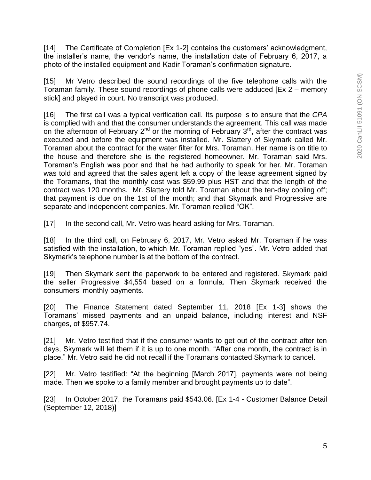[14] The Certificate of Completion [Ex 1-2] contains the customers' acknowledgment, the installer's name, the vendor's name, the installation date of February 6, 2017, a photo of the installed equipment and Kadir Toraman's confirmation signature.

[15] Mr Vetro described the sound recordings of the five telephone calls with the Toraman family. These sound recordings of phone calls were adduced [Ex 2 – memory stick] and played in court. No transcript was produced.

[16] The first call was a typical verification call. Its purpose is to ensure that the *CPA* is complied with and that the consumer understands the agreement. This call was made on the afternoon of February  $2^{nd}$  or the morning of February  $3^{rd}$ , after the contract was executed and before the equipment was installed. Mr. Slattery of Skymark called Mr. Toraman about the contract for the water filter for Mrs. Toraman. Her name is on title to the house and therefore she is the registered homeowner. Mr. Toraman said Mrs. Toraman's English was poor and that he had authority to speak for her. Mr. Toraman was told and agreed that the sales agent left a copy of the lease agreement signed by the Toramans, that the monthly cost was \$59.99 plus HST and that the length of the contract was 120 months. Mr. Slattery told Mr. Toraman about the ten-day cooling off; that payment is due on the 1st of the month; and that Skymark and Progressive are separate and independent companies. Mr. Toraman replied "OK".

[17] In the second call, Mr. Vetro was heard asking for Mrs. Toraman.

[18] In the third call, on February 6, 2017, Mr. Vetro asked Mr. Toraman if he was satisfied with the installation, to which Mr. Toraman replied "yes". Mr. Vetro added that Skymark's telephone number is at the bottom of the contract.

[19] Then Skymark sent the paperwork to be entered and registered. Skymark paid the seller Progressive \$4,554 based on a formula. Then Skymark received the consumers' monthly payments.

[20] The Finance Statement dated September 11, 2018 [Ex 1-3] shows the Toramans' missed payments and an unpaid balance, including interest and NSF charges, of \$957.74.

[21] Mr. Vetro testified that if the consumer wants to get out of the contract after ten days, Skymark will let them if it is up to one month. "After one month, the contract is in place." Mr. Vetro said he did not recall if the Toramans contacted Skymark to cancel.

[22] Mr. Vetro testified: "At the beginning [March 2017], payments were not being made. Then we spoke to a family member and brought payments up to date".

[23] In October 2017, the Toramans paid \$543.06. [Ex 1-4 - Customer Balance Detail (September 12, 2018)]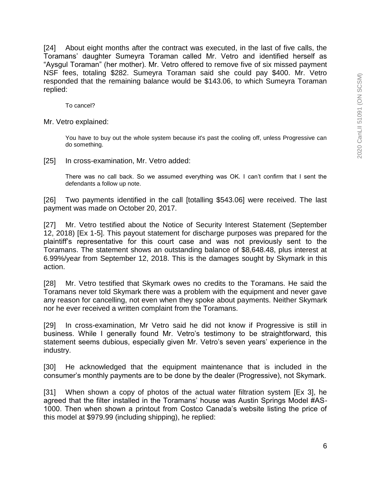[24] About eight months after the contract was executed, in the last of five calls, the Toramans' daughter Sumeyra Toraman called Mr. Vetro and identified herself as "Aysgul Toraman" (her mother). Mr. Vetro offered to remove five of six missed payment NSF fees, totaling \$282. Sumeyra Toraman said she could pay \$400. Mr. Vetro responded that the remaining balance would be \$143.06, to which Sumeyra Toraman replied:

To cancel?

Mr. Vetro explained:

You have to buy out the whole system because it's past the cooling off, unless Progressive can do something.

[25] In cross-examination, Mr. Vetro added:

There was no call back. So we assumed everything was OK. I can't confirm that I sent the defendants a follow up note.

[26] Two payments identified in the call [totalling \$543.06] were received. The last payment was made on October 20, 2017.

[27] Mr. Vetro testified about the Notice of Security Interest Statement (September 12, 2018) [Ex 1-5]. This payout statement for discharge purposes was prepared for the plaintiff's representative for this court case and was not previously sent to the Toramans. The statement shows an outstanding balance of \$8,648.48, plus interest at 6.99%/year from September 12, 2018. This is the damages sought by Skymark in this action.

[28] Mr. Vetro testified that Skymark owes no credits to the Toramans. He said the Toramans never told Skymark there was a problem with the equipment and never gave any reason for cancelling, not even when they spoke about payments. Neither Skymark nor he ever received a written complaint from the Toramans.

[29] In cross-examination, Mr Vetro said he did not know if Progressive is still in business. While I generally found Mr. Vetro's testimony to be straightforward, this statement seems dubious, especially given Mr. Vetro's seven years' experience in the industry.

[30] He acknowledged that the equipment maintenance that is included in the consumer's monthly payments are to be done by the dealer (Progressive), not Skymark.

[31] When shown a copy of photos of the actual water filtration system [Ex 3], he agreed that the filter installed in the Toramans' house was Austin Springs Model #AS-1000. Then when shown a printout from Costco Canada's website listing the price of this model at \$979.99 (including shipping), he replied: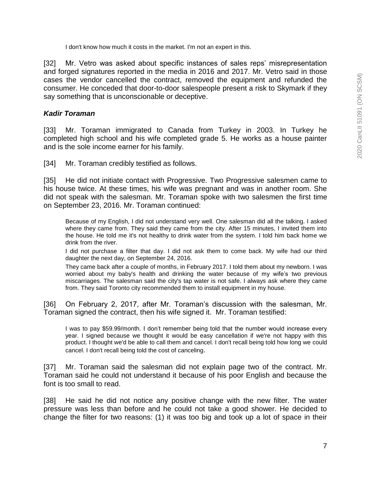I don't know how much it costs in the market. I'm not an expert in this.

[32] Mr. Vetro was asked about specific instances of sales reps' misrepresentation and forged signatures reported in the media in 2016 and 2017. Mr. Vetro said in those cases the vendor cancelled the contract, removed the equipment and refunded the consumer. He conceded that door-to-door salespeople present a risk to Skymark if they say something that is unconscionable or deceptive.

### *Kadir Toraman*

[33] Mr. Toraman immigrated to Canada from Turkey in 2003. In Turkey he completed high school and his wife completed grade 5. He works as a house painter and is the sole income earner for his family.

[34] Mr. Toraman credibly testified as follows.

[35] He did not initiate contact with Progressive. Two Progressive salesmen came to his house twice. At these times, his wife was pregnant and was in another room. She did not speak with the salesman. Mr. Toraman spoke with two salesmen the first time on September 23, 2016. Mr. Toraman continued:

Because of my English, I did not understand very well. One salesman did all the talking. I asked where they came from. They said they came from the city. After 15 minutes, I invited them into the house. He told me it's not healthy to drink water from the system. I told him back home we drink from the river.

I did not purchase a filter that day. I did not ask them to come back. My wife had our third daughter the next day, on September 24, 2016.

They came back after a couple of months, in February 2017. I told them about my newborn. I was worried about my baby's health and drinking the water because of my wife's two previous miscarriages. The salesman said the city's tap water is not safe. I always ask where they came from. They said Toronto city recommended them to install equipment in my house.

[36] On February 2, 2017, after Mr. Toraman's discussion with the salesman, Mr. Toraman signed the contract, then his wife signed it. Mr. Toraman testified:

I was to pay \$59.99/month. I don't remember being told that the number would increase every year. I signed because we thought it would be easy cancellation if we're not happy with this product. I thought we'd be able to call them and cancel. I don't recall being told how long we could cancel. I don't recall being told the cost of canceling.

[37] Mr. Toraman said the salesman did not explain page two of the contract. Mr. Toraman said he could not understand it because of his poor English and because the font is too small to read.

[38] He said he did not notice any positive change with the new filter. The water pressure was less than before and he could not take a good shower. He decided to change the filter for two reasons: (1) it was too big and took up a lot of space in their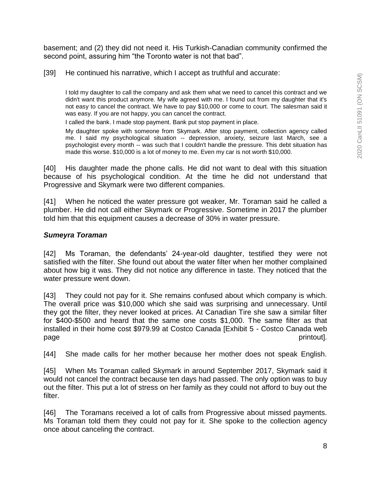basement; and (2) they did not need it. His Turkish-Canadian community confirmed the second point, assuring him "the Toronto water is not that bad".

[39] He continued his narrative, which I accept as truthful and accurate:

I told my daughter to call the company and ask them what we need to cancel this contract and we didn't want this product anymore. My wife agreed with me. I found out from my daughter that it's not easy to cancel the contract. We have to pay \$10,000 or come to court. The salesman said it was easy. If you are not happy, you can cancel the contract.

I called the bank. I made stop payment. Bank put stop payment in place.

My daughter spoke with someone from Skymark. After stop payment, collection agency called me. I said my psychological situation -- depression, anxiety, seizure last March, see a psychologist every month -- was such that I couldn't handle the pressure. This debt situation has made this worse. \$10,000 is a lot of money to me. Even my car is not worth \$10,000.

[40] His daughter made the phone calls. He did not want to deal with this situation because of his psychological condition. At the time he did not understand that Progressive and Skymark were two different companies.

[41] When he noticed the water pressure got weaker, Mr. Toraman said he called a plumber. He did not call either Skymark or Progressive. Sometime in 2017 the plumber told him that this equipment causes a decrease of 30% in water pressure.

## *Sumeyra Toraman*

[42] Ms Toraman, the defendants' 24-year-old daughter, testified they were not satisfied with the filter. She found out about the water filter when her mother complained about how big it was. They did not notice any difference in taste. They noticed that the water pressure went down.

[43] They could not pay for it. She remains confused about which company is which. The overall price was \$10,000 which she said was surprising and unnecessary. Until they got the filter, they never looked at prices. At Canadian Tire she saw a similar filter for \$400-\$500 and heard that the same one costs \$1,000. The same filter as that installed in their home cost \$979.99 at Costco Canada [Exhibit 5 - Costco Canada web page page printout].

[44] She made calls for her mother because her mother does not speak English.

[45] When Ms Toraman called Skymark in around September 2017, Skymark said it would not cancel the contract because ten days had passed. The only option was to buy out the filter. This put a lot of stress on her family as they could not afford to buy out the filter.

[46] The Toramans received a lot of calls from Progressive about missed payments. Ms Toraman told them they could not pay for it. She spoke to the collection agency once about canceling the contract.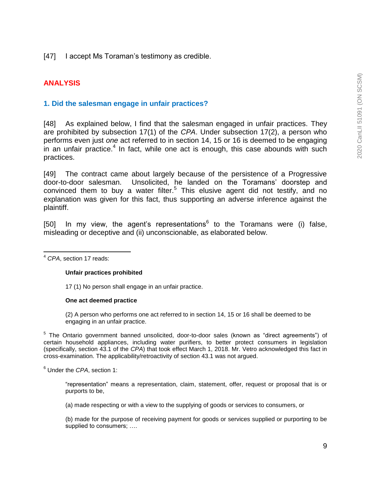[47] I accept Ms Toraman's testimony as credible.

## **ANALYSIS**

## **1. Did the salesman engage in unfair practices?**

[48] As explained below, I find that the salesman engaged in unfair practices. They are prohibited by subsection 17(1) of the *CPA*. Under subsection 17(2), a person who performs even just *one* act referred to in section 14, 15 or 16 is deemed to be engaging in an unfair practice.<sup>4</sup> In fact, while one act is enough, this case abounds with such practices.

[49] The contract came about largely because of the persistence of a Progressive door-to-door salesman. Unsolicited, he landed on the Toramans' doorstep and convinced them to buy a water filter.<sup>5</sup> This elusive agent did not testify, and no explanation was given for this fact, thus supporting an adverse inference against the plaintiff.

[50] In my view, the agent's representations<sup>6</sup> to the Toramans were (i) false, misleading or deceptive and (ii) unconscionable, as elaborated below.

 $\overline{a}$ <sup>4</sup> *CPA*, section 17 reads:

### **Unfair practices prohibited**

17 (1) No person shall engage in an unfair practice.

#### **One act deemed practice**

(2) A person who performs one act referred to in section 14, 15 or 16 shall be deemed to be engaging in an unfair practice.

<sup>5</sup> The Ontario government banned unsolicited, door-to-door sales (known as "direct agreements") of certain household appliances, including water purifiers, to better protect consumers in legislation (specifically, section 43.1 of the *CPA*) that took effect March 1, 2018. Mr. Vetro acknowledged this fact in cross-examination. The applicability/retroactivity of section 43.1 was not argued.

<sup>6</sup> Under the *CPA*, section 1:

"representation" means a representation, claim, statement, offer, request or proposal that is or purports to be,

(a) made respecting or with a view to the supplying of goods or services to consumers, or

(b) made for the purpose of receiving payment for goods or services supplied or purporting to be supplied to consumers; ....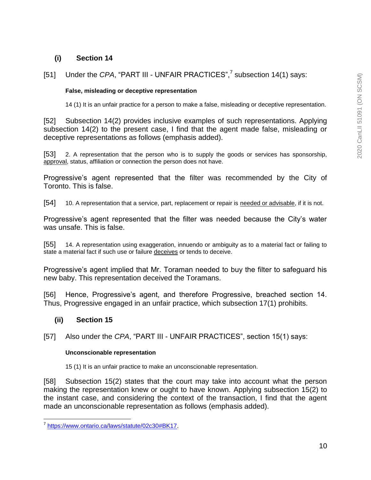## **(i) Section 14**

## [51] Under the *CPA*, "PART III - UNFAIR PRACTICES",<sup>7</sup> subsection 14(1) says:

### **False, misleading or deceptive representation**

14 (1) It is an unfair practice for a person to make a false, misleading or deceptive representation.

[52] Subsection 14(2) provides inclusive examples of such representations. Applying subsection 14(2) to the present case, I find that the agent made false, misleading or deceptive representations as follows (emphasis added).

[53] 2. A representation that the person who is to supply the goods or services has sponsorship, approval, status, affiliation or connection the person does not have.

Progressive's agent represented that the filter was recommended by the City of Toronto. This is false.

[54] 10. A representation that a service, part, replacement or repair is needed or advisable, if it is not.

Progressive's agent represented that the filter was needed because the City's water was unsafe. This is false.

[55] 14. A representation using exaggeration, innuendo or ambiguity as to a material fact or failing to state a material fact if such use or failure deceives or tends to deceive.

Progressive's agent implied that Mr. Toraman needed to buy the filter to safeguard his new baby. This representation deceived the Toramans.

[56] Hence, Progressive's agent, and therefore Progressive, breached section 14. Thus, Progressive engaged in an unfair practice, which subsection 17(1) prohibits.

## **(ii) Section 15**

[57] Also under the *CPA*, "PART III - UNFAIR PRACTICES", section 15(1) says:

#### **Unconscionable representation**

15 (1) It is an unfair practice to make an unconscionable representation.

[58] Subsection 15(2) states that the court may take into account what the person making the representation knew or ought to have known. Applying subsection 15(2) to the instant case, and considering the context of the transaction, I find that the agent made an unconscionable representation as follows (emphasis added).

 7 [https://www.ontario.ca/laws/statute/02c30#BK17.](https://www.ontario.ca/laws/statute/02c30#BK17)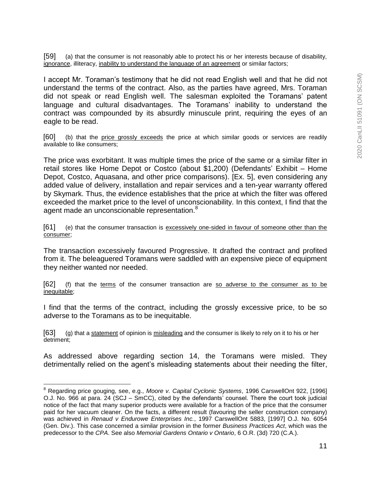[59] (a) that the consumer is not reasonably able to protect his or her interests because of disability, ignorance, illiteracy, inability to understand the language of an agreement or similar factors;

I accept Mr. Toraman's testimony that he did not read English well and that he did not understand the terms of the contract. Also, as the parties have agreed, Mrs. Toraman did not speak or read English well. The salesman exploited the Toramans' patent language and cultural disadvantages. The Toramans' inability to understand the contract was compounded by its absurdly minuscule print, requiring the eyes of an eagle to be read.

[60] (b) that the price grossly exceeds the price at which similar goods or services are readily available to like consumers;

The price was exorbitant. It was multiple times the price of the same or a similar filter in retail stores like Home Depot or Costco (about \$1,200) (Defendants' Exhibit – Home Depot, Costco, Aquasana, and other price comparisons). [Ex. 5], even considering any added value of delivery, installation and repair services and a ten-year warranty offered by Skymark. Thus, the evidence establishes that the price at which the filter was offered exceeded the market price to the level of unconscionability. In this context, I find that the agent made an unconscionable representation.<sup>8</sup>

[61] (e) that the consumer transaction is excessively one-sided in favour of someone other than the consumer;

The transaction excessively favoured Progressive. It drafted the contract and profited from it. The beleaguered Toramans were saddled with an expensive piece of equipment they neither wanted nor needed.

[62] (f) that the terms of the consumer transaction are so adverse to the consumer as to be inequitable;

I find that the terms of the contract, including the grossly excessive price, to be so adverse to the Toramans as to be inequitable.

[63] (g) that a statement of opinion is misleading and the consumer is likely to rely on it to his or her detriment;

As addressed above regarding section 14, the Toramans were misled. They detrimentally relied on the agent's misleading statements about their needing the filter,

 $\overline{a}$ 

<sup>8</sup> Regarding price gouging, see, e.g., *Moore v. Capital Cyclonic Systems*, 1996 CarswellOnt 922, [1996] O.J. No. 966 at para. 24 (SCJ – SmCC), cited by the defendants' counsel. There the court took judicial notice of the fact that many superior products were available for a fraction of the price that the consumer paid for her vacuum cleaner. On the facts, a different result (favouring the seller construction company) was achieved in *Renaud v Endurowe Enterprises Inc.*, 1997 CarswellOnt 5883, [1997] O.J. No. 6054 (Gen. Div.). This case concerned a similar provision in the former *Business Practices Act*, which was the predecessor to the *CPA*. See also *Memorial Gardens Ontario v Ontario*, 6 O.R. (3d) 720 (C.A.).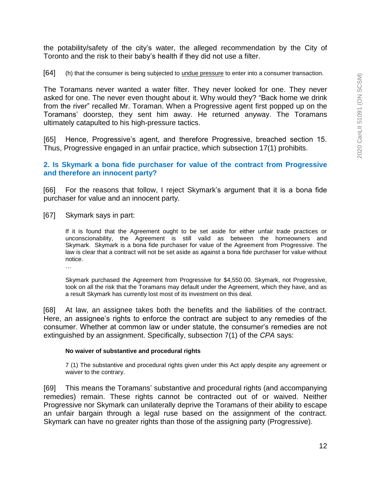the potability/safety of the city's water, the alleged recommendation by the City of Toronto and the risk to their baby's health if they did not use a filter.

[64] (h) that the consumer is being subjected to undue pressure to enter into a consumer transaction.

The Toramans never wanted a water filter. They never looked for one. They never asked for one. The never even thought about it. Why would they? "Back home we drink from the river" recalled Mr. Toraman. When a Progressive agent first popped up on the Toramans' doorstep, they sent him away. He returned anyway. The Toramans ultimately catapulted to his high-pressure tactics.

[65] Hence, Progressive's agent, and therefore Progressive, breached section 15. Thus, Progressive engaged in an unfair practice, which subsection 17(1) prohibits.

### **2. Is Skymark a bona fide purchaser for value of the contract from Progressive and therefore an innocent party?**

[66] For the reasons that follow, I reject Skymark's argument that it is a bona fide purchaser for value and an innocent party.

[67] Skymark says in part:

If it is found that the Agreement ought to be set aside for either unfair trade practices or unconscionability, the Agreement is still valid as between the homeowners and Skymark. Skymark is a bona fide purchaser for value of the Agreement from Progressive. The law is clear that a contract will not be set aside as against a bona fide purchaser for value without notice.

…

Skymark purchased the Agreement from Progressive for \$4,550.00. Skymark, not Progressive, took on all the risk that the Toramans may default under the Agreement, which they have, and as a result Skymark has currently lost most of its investment on this deal.

[68] At law, an assignee takes both the benefits and the liabilities of the contract. Here, an assignee's rights to enforce the contract are subject to any remedies of the consumer. Whether at common law or under statute, the consumer's remedies are not extinguished by an assignment. Specifically, subsection 7(1) of the *CPA* says:

#### **No waiver of substantive and procedural rights**

7 (1) The substantive and procedural rights given under this Act apply despite any agreement or waiver to the contrary.

[69] This means the Toramans' substantive and procedural rights (and accompanying remedies) remain. These rights cannot be contracted out of or waived. Neither Progressive nor Skymark can unilaterally deprive the Toramans of their ability to escape an unfair bargain through a legal ruse based on the assignment of the contract. Skymark can have no greater rights than those of the assigning party (Progressive).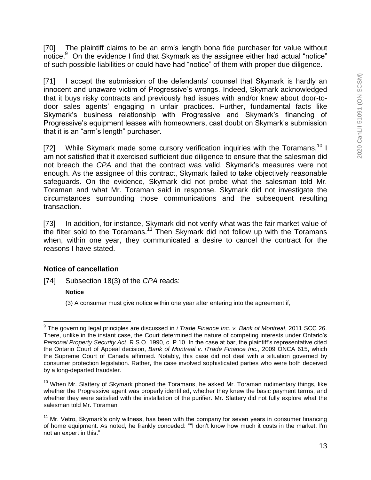[70] The plaintiff claims to be an arm's length bona fide purchaser for value without notice.<sup>9</sup> On the evidence I find that Skymark as the assignee either had actual "notice" of such possible liabilities or could have had "notice" of them with proper due diligence.

[71] I accept the submission of the defendants' counsel that Skymark is hardly an innocent and unaware victim of Progressive's wrongs. Indeed, Skymark acknowledged that it buys risky contracts and previously had issues with and/or knew about door-todoor sales agents' engaging in unfair practices. Further, fundamental facts like Skymark's business relationship with Progressive and Skymark's financing of Progressive's equipment leases with homeowners, cast doubt on Skymark's submission that it is an "arm's length" purchaser.

[72] While Skymark made some cursory verification inquiries with the Toramans,<sup>10</sup> I am not satisfied that it exercised sufficient due diligence to ensure that the salesman did not breach the *CPA* and that the contract was valid. Skymark's measures were not enough. As the assignee of this contract, Skymark failed to take objectively reasonable safeguards. On the evidence, Skymark did not probe what the salesman told Mr. Toraman and what Mr. Toraman said in response. Skymark did not investigate the circumstances surrounding those communications and the subsequent resulting transaction.

[73] In addition, for instance, Skymark did not verify what was the fair market value of the filter sold to the Toramans.<sup>11</sup> Then Skymark did not follow up with the Toramans when, within one year, they communicated a desire to cancel the contract for the reasons I have stated.

## **Notice of cancellation**

[74] Subsection 18(3) of the *CPA* reads:

### **Notice**

(3) A consumer must give notice within one year after entering into the agreement if,

 $\overline{a}$ 9 The governing legal principles are discussed in *i Trade Finance Inc. v. Bank of Montreal*, 2011 SCC 26. There, unlike in the instant case, the Court determined the nature of competing interests under Ontario's *Personal Property Security Act*, R.S.O. 1990, c. P.10. In the case at bar, the plaintiff's representative cited the Ontario Court of Appeal decision, *Bank of Montreal v. iTrade Finance Inc.*, 2009 ONCA 615, which the Supreme Court of Canada affirmed. Notably, this case did not deal with a situation governed by consumer protection legislation. Rather, the case involved sophisticated parties who were both deceived by a long-departed fraudster.

 $10$  When Mr. Slattery of Skymark phoned the Toramans, he asked Mr. Toraman rudimentary things, like whether the Progressive agent was properly identified, whether they knew the basic payment terms, and whether they were satisfied with the installation of the purifier. Mr. Slattery did not fully explore what the salesman told Mr. Toraman.

 $11$  Mr. Vetro, Skymark's only witness, has been with the company for seven years in consumer financing of home equipment. As noted, he frankly conceded: ""I don't know how much it costs in the market. I'm not an expert in this."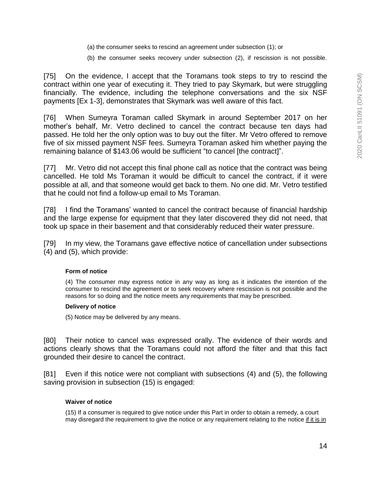- (a) the consumer seeks to rescind an agreement under subsection (1); or
- (b) the consumer seeks recovery under subsection (2), if rescission is not possible.

[75] On the evidence, I accept that the Toramans took steps to try to rescind the contract within one year of executing it. They tried to pay Skymark, but were struggling financially. The evidence, including the telephone conversations and the six NSF payments [Ex 1-3], demonstrates that Skymark was well aware of this fact.

[76] When Sumeyra Toraman called Skymark in around September 2017 on her mother's behalf, Mr. Vetro declined to cancel the contract because ten days had passed. He told her the only option was to buy out the filter. Mr Vetro offered to remove five of six missed payment NSF fees. Sumeyra Toraman asked him whether paying the remaining balance of \$143.06 would be sufficient "to cancel [the contract]".

[77] Mr. Vetro did not accept this final phone call as notice that the contract was being cancelled. He told Ms Toraman it would be difficult to cancel the contract, if it were possible at all, and that someone would get back to them. No one did. Mr. Vetro testified that he could not find a follow-up email to Ms Toraman.

[78] I find the Toramans' wanted to cancel the contract because of financial hardship and the large expense for equipment that they later discovered they did not need, that took up space in their basement and that considerably reduced their water pressure.

[79] In my view, the Toramans gave effective notice of cancellation under subsections (4) and (5), which provide:

#### **Form of notice**

(4) The consumer may express notice in any way as long as it indicates the intention of the consumer to rescind the agreement or to seek recovery where rescission is not possible and the reasons for so doing and the notice meets any requirements that may be prescribed.

#### **Delivery of notice**

(5) Notice may be delivered by any means.

[80] Their notice to cancel was expressed orally. The evidence of their words and actions clearly shows that the Toramans could not afford the filter and that this fact grounded their desire to cancel the contract.

[81] Even if this notice were not compliant with subsections (4) and (5), the following saving provision in subsection (15) is engaged:

#### **Waiver of notice**

(15) If a consumer is required to give notice under this Part in order to obtain a remedy, a court may disregard the requirement to give the notice or any requirement relating to the notice if it is in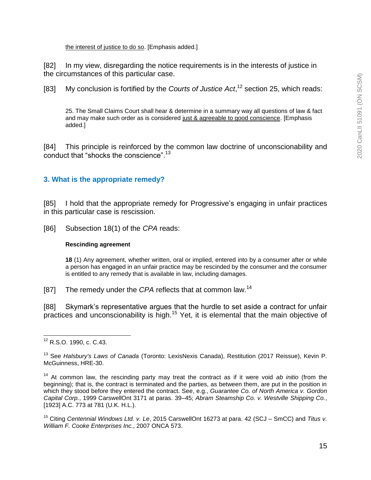the interest of justice to do so. [Emphasis added.]

[82] In my view, disregarding the notice requirements is in the interests of justice in the circumstances of this particular case.

[83] My conclusion is fortified by the *Courts of Justice Act*, <sup>12</sup> section 25, which reads:

25. The Small Claims Court shall hear & determine in a summary way all questions of law & fact and may make such order as is considered just & agreeable to good conscience. [Emphasis added.]

[84] This principle is reinforced by the common law doctrine of unconscionability and conduct that "shocks the conscience".<sup>13</sup>

## **3. What is the appropriate remedy?**

[85] I hold that the appropriate remedy for Progressive's engaging in unfair practices in this particular case is rescission.

[86] Subsection 18(1) of the *CPA* reads:

#### **Rescinding agreement**

**18** (1) Any agreement, whether written, oral or implied, entered into by a consumer after or while a person has engaged in an unfair practice may be rescinded by the consumer and the consumer is entitled to any remedy that is available in law, including damages.

[87] The remedy under the *CPA* reflects that at common law.<sup>14</sup>

[88] Skymark's representative argues that the hurdle to set aside a contract for unfair practices and unconscionability is high.<sup>15</sup> Yet, it is elemental that the main objective of

 $\overline{a}$ <sup>12</sup> R.S.O. 1990, c. C.43.

<sup>13</sup> See *Halsbury's Laws of Canada* (Toronto: LexisNexis Canada), Restitution (2017 Reissue), Kevin P. McGuinness, HRE-30.

<sup>&</sup>lt;sup>14</sup> At common law, the rescinding party may treat the contract as if it were void ab initio (from the beginning); that is, the contract is terminated and the parties, as between them, are put in the position in which they stood before they entered the contract. See, e.g., *Guarantee Co. of North America v. Gordon Capital Corp.*, 1999 CarswellOnt 3171 at paras. 39–45; *Abram Steamship Co. v. Westville Shipping Co.*, [1923] A.C. 773 at 781 (U.K. H.L.).

<sup>15</sup> Citing *Centennial Windows Ltd. v. Le*, 2015 CarswellOnt 16273 at para. 42 (SCJ – SmCC) and *Titus v. William F. Cooke Enterprises Inc.*, 2007 ONCA 573.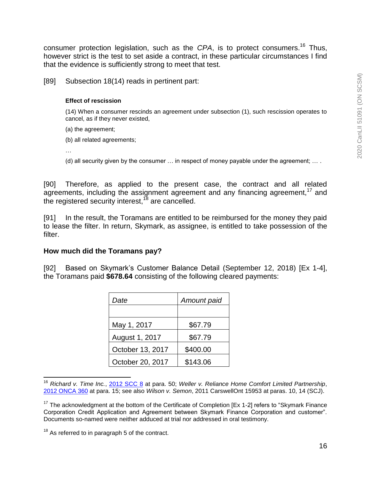consumer protection legislation, such as the *CPA*, is to protect consumers.<sup>16</sup> Thus, however strict is the test to set aside a contract, in these particular circumstances I find that the evidence is sufficiently strong to meet that test.

[89] Subsection 18(14) reads in pertinent part:

### **Effect of rescission**

(14) When a consumer rescinds an agreement under subsection (1), such rescission operates to cancel, as if they never existed,

(a) the agreement;

(b) all related agreements;

…

(d) all security given by the consumer  $\ldots$  in respect of money payable under the agreement;  $\ldots$ .

[90] Therefore, as applied to the present case, the contract and all related agreements, including the assignment agreement and any financing agreement,<sup>17</sup> and the registered security interest,<sup>18</sup> are cancelled.

[91] In the result, the Toramans are entitled to be reimbursed for the money they paid to lease the filter. In return, Skymark, as assignee, is entitled to take possession of the filter.

## **How much did the Toramans pay?**

[92] Based on Skymark's Customer Balance Detail (September 12, 2018) [Ex 1-4], the Toramans paid **\$678.64** consisting of the following cleared payments:

| Date             | Amount paid |
|------------------|-------------|
|                  |             |
| May 1, 2017      | \$67.79     |
| August 1, 2017   | \$67.79     |
| October 13, 2017 | \$400.00    |
| October 20, 2017 | \$143.06    |

 $\overline{a}$ <sup>16</sup> *Richard v. Time Inc.*, [2012 SCC 8](https://advance.lexis.com/document?crid=fff01855-1558-4068-aac7-1b4ec2276a1b&pddocfullpath=%2Fshared%2Fdocument%2Fcases-ca%2Furn%3AcontentItem%3A5F8P-SFS1-FFMK-M0P6-00000-00&pdcontentcomponentid=280717&pdmfid=1505209&pdisurlapi=true) at para. 50; *Weller v. Reliance Home Comfort Limited Partnership*, [2012 ONCA 360](https://advance.lexis.com/document?crid=fff01855-1558-4068-aac7-1b4ec2276a1b&pddocfullpath=%2Fshared%2Fdocument%2Fcases-ca%2Furn%3AcontentItem%3A5F8P-SFS1-FFMK-M0P6-00000-00&pdcontentcomponentid=280717&pdmfid=1505209&pdisurlapi=true) at para. 15; see also *Wilson v. Semon*, 2011 CarswellOnt 15953 at paras. 10, 14 (SCJ).

 $17$  The acknowledgment at the bottom of the Certificate of Completion [Ex 1-2] refers to "Skymark Finance Corporation Credit Application and Agreement between Skymark Finance Corporation and customer". Documents so-named were neither adduced at trial nor addressed in oral testimony.

 $18$  As referred to in paragraph 5 of the contract.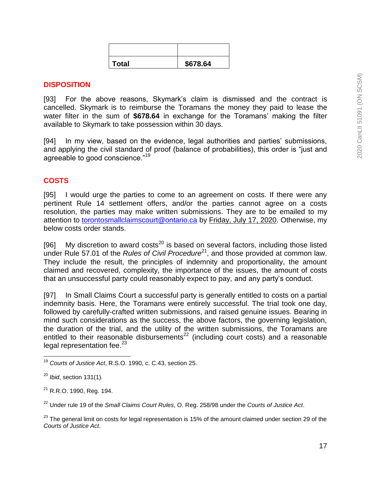| <b>Total</b> | \$678.64 |  |
|--------------|----------|--|

### **DISPOSITION**

[93] For the above reasons, Skymark's claim is dismissed and the contract is cancelled. Skymark is to reimburse the Toramans the money they paid to lease the water filter in the sum of **\$678.64** in exchange for the Toramans' making the filter available to Skymark to take possession within 30 days.

[94] In my view, based on the evidence, legal authorities and parties' submissions, and applying the civil standard of proof (balance of probabilities), this order is "just and agreeable to good conscience."<sup>19</sup>

## **COSTS**

[95] I would urge the parties to come to an agreement on costs. If there were any pertinent Rule 14 settlement offers, and/or the parties cannot agree on a costs resolution, the parties may make written submissions. They are to be emailed to my attention to [torontosmallclaimscourt@ontario.ca](mailto:torontosmallclaimscourt@ontario.ca) by Friday, July 17, 2020. Otherwise, my below costs order stands.

[96] My discretion to award costs $^{20}$  is based on several factors, including those listed under Rule 57.01 of the *Rules of Civil Procedure*<sup>21</sup>, and those provided at common law. They include the result, the principles of indemnity and proportionality, the amount claimed and recovered, complexity, the importance of the issues, the amount of costs that an unsuccessful party could reasonably expect to pay, and any party's conduct.

[97] In Small Claims Court a successful party is generally entitled to costs on a partial indemnity basis. Here, the Toramans were entirely successful. The trial took one day, followed by carefully-crafted written submissions, and raised genuine issues. Bearing in mind such considerations as the success, the above factors, the governing legislation, the duration of the trial, and the utility of the written submissions, the Toramans are entitled to their reasonable disbursements<sup>22</sup> (including court costs) and a reasonable legal representation fee. $^{23}$ 

 $\overline{a}$ 

<sup>19</sup> *Courts of Justice Act*, R.S.O. 1990, c. C.43, section 25.

<sup>20</sup> *Ibid*, section 131(1).

 $21$  R.R.O. 1990, Reg. 194.

<sup>22</sup> Under rule 19 of the *Small Claims Court Rules*, O. Reg. 258/98 under the *Courts of Justice Act*.

 $23$  The general limit on costs for legal representation is 15% of the amount claimed under section 29 of the *Courts of Justice Act*.